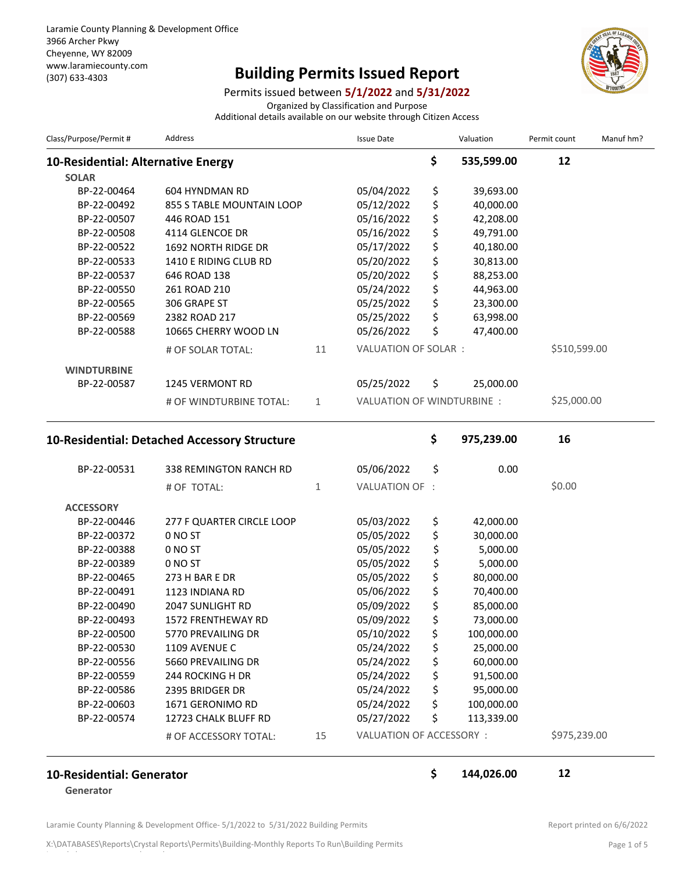## (307) 633-4303 **Building Permits Issued Report**



Permits issued between **5/1/2022** and **5/31/2022**

Organized by Classification and Purpose

Additional details available on our website through Citizen Access

| Class/Purpose/Permit #             | Address                                      |              | <b>Issue Date</b>          | Valuation        | Permit count | Manuf hm? |
|------------------------------------|----------------------------------------------|--------------|----------------------------|------------------|--------------|-----------|
| 10-Residential: Alternative Energy |                                              |              |                            | \$<br>535,599.00 | 12           |           |
| <b>SOLAR</b>                       |                                              |              |                            |                  |              |           |
| BP-22-00464                        | <b>604 HYNDMAN RD</b>                        |              | 05/04/2022                 | \$<br>39,693.00  |              |           |
| BP-22-00492                        | 855 S TABLE MOUNTAIN LOOP                    |              | 05/12/2022                 | \$<br>40,000.00  |              |           |
| BP-22-00507                        | 446 ROAD 151                                 |              | 05/16/2022                 | \$<br>42,208.00  |              |           |
| BP-22-00508                        | 4114 GLENCOE DR                              |              | 05/16/2022                 | \$<br>49,791.00  |              |           |
| BP-22-00522                        | 1692 NORTH RIDGE DR                          |              | 05/17/2022                 | \$<br>40,180.00  |              |           |
| BP-22-00533                        | 1410 E RIDING CLUB RD                        |              | 05/20/2022                 | \$<br>30,813.00  |              |           |
| BP-22-00537                        | 646 ROAD 138                                 |              | 05/20/2022                 | \$<br>88,253.00  |              |           |
| BP-22-00550                        | 261 ROAD 210                                 |              | 05/24/2022                 | \$<br>44,963.00  |              |           |
| BP-22-00565                        | 306 GRAPE ST                                 |              | 05/25/2022                 | \$<br>23,300.00  |              |           |
| BP-22-00569                        | 2382 ROAD 217                                |              | 05/25/2022                 | \$<br>63,998.00  |              |           |
| BP-22-00588                        | 10665 CHERRY WOOD LN                         |              | 05/26/2022                 | \$<br>47,400.00  |              |           |
|                                    | # OF SOLAR TOTAL:                            | 11           | VALUATION OF SOLAR :       |                  | \$510,599.00 |           |
| <b>WINDTURBINE</b>                 |                                              |              |                            |                  |              |           |
| BP-22-00587                        | 1245 VERMONT RD                              |              | 05/25/2022                 | \$<br>25,000.00  |              |           |
|                                    |                                              |              | VALUATION OF WINDTURBINE : |                  | \$25,000.00  |           |
|                                    | # OF WINDTURBINE TOTAL:                      | $\mathbf{1}$ |                            |                  |              |           |
|                                    | 10-Residential: Detached Accessory Structure |              |                            | \$<br>975,239.00 | 16           |           |
| BP-22-00531                        | 338 REMINGTON RANCH RD                       |              | 05/06/2022                 | \$<br>0.00       |              |           |
|                                    | # OF TOTAL:                                  | $\mathbf{1}$ | VALUATION OF :             |                  | \$0.00       |           |
| <b>ACCESSORY</b>                   |                                              |              |                            |                  |              |           |
| BP-22-00446                        | 277 F QUARTER CIRCLE LOOP                    |              | 05/03/2022                 | \$<br>42,000.00  |              |           |
| BP-22-00372                        | 0 NO ST                                      |              | 05/05/2022                 | \$<br>30,000.00  |              |           |
| BP-22-00388                        | 0 NO ST                                      |              | 05/05/2022                 | \$<br>5,000.00   |              |           |
| BP-22-00389                        | 0 NO ST                                      |              | 05/05/2022                 | \$<br>5,000.00   |              |           |
| BP-22-00465                        | 273 H BAR E DR                               |              | 05/05/2022                 | \$<br>80,000.00  |              |           |
| BP-22-00491                        | 1123 INDIANA RD                              |              | 05/06/2022                 | \$<br>70,400.00  |              |           |
| BP-22-00490                        | 2047 SUNLIGHT RD                             |              | 05/09/2022                 | \$<br>85,000.00  |              |           |
| BP-22-00493                        | 1572 FRENTHEWAY RD                           |              | 05/09/2022                 | \$<br>73,000.00  |              |           |
| BP-22-00500                        | 5770 PREVAILING DR                           |              | 05/10/2022                 | \$<br>100,000.00 |              |           |
| BP-22-00530                        | 1109 AVENUE C                                |              | 05/24/2022                 | \$<br>25,000.00  |              |           |
| BP-22-00556                        | 5660 PREVAILING DR                           |              | 05/24/2022                 | \$<br>60,000.00  |              |           |
| BP-22-00559                        | 244 ROCKING H DR                             |              | 05/24/2022                 | \$<br>91,500.00  |              |           |
| BP-22-00586                        | 2395 BRIDGER DR                              |              | 05/24/2022                 | \$<br>95,000.00  |              |           |
| BP-22-00603                        | 1671 GERONIMO RD                             |              | 05/24/2022                 | \$<br>100,000.00 |              |           |
| BP-22-00574                        | 12723 CHALK BLUFF RD                         |              | 05/27/2022                 | \$<br>113,339.00 |              |           |
|                                    | # OF ACCESSORY TOTAL:                        | 15           | VALUATION OF ACCESSORY :   |                  | \$975,239.00 |           |
|                                    |                                              |              |                            |                  |              |           |

## **10-Residential: Generator \$ 144,026.00 12**

**Generator**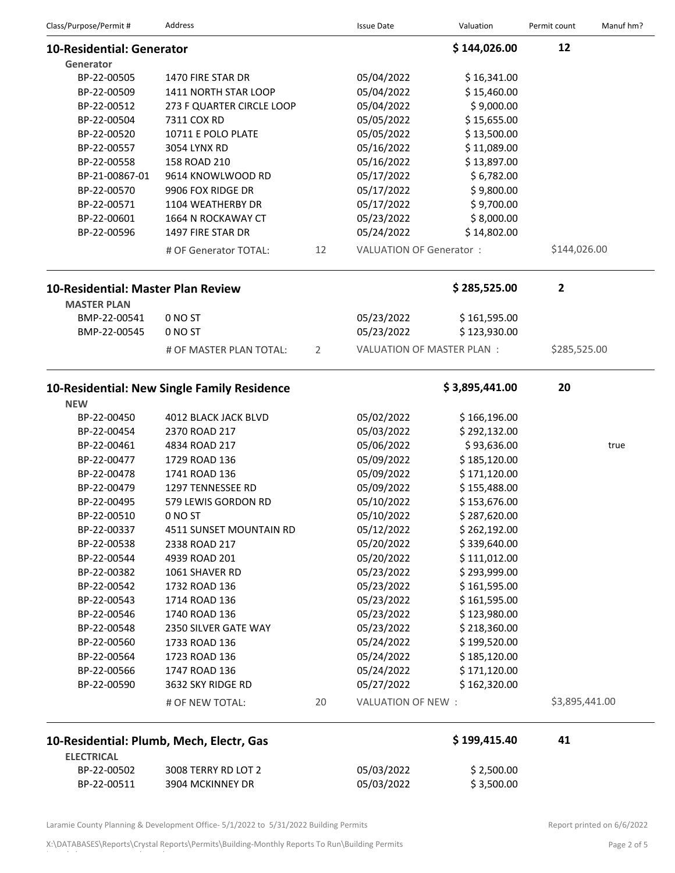| Class/Purpose/Permit#              | Address                                     |    | <b>Issue Date</b>              | Valuation                        | Permit count   | Manuf hm? |
|------------------------------------|---------------------------------------------|----|--------------------------------|----------------------------------|----------------|-----------|
| <b>10-Residential: Generator</b>   |                                             |    |                                | \$144,026.00                     | 12             |           |
| Generator                          |                                             |    |                                |                                  |                |           |
| BP-22-00505                        | 1470 FIRE STAR DR                           |    | 05/04/2022                     | \$16,341.00                      |                |           |
| BP-22-00509                        | 1411 NORTH STAR LOOP                        |    | 05/04/2022                     | \$15,460.00                      |                |           |
| BP-22-00512                        | 273 F QUARTER CIRCLE LOOP                   |    | 05/04/2022                     | \$9,000.00                       |                |           |
| BP-22-00504                        | 7311 COX RD                                 |    | 05/05/2022                     | \$15,655.00                      |                |           |
| BP-22-00520                        | 10711 E POLO PLATE                          |    | 05/05/2022                     | \$13,500.00                      |                |           |
| BP-22-00557                        | 3054 LYNX RD                                |    | 05/16/2022                     | \$11,089.00                      |                |           |
| BP-22-00558                        | 158 ROAD 210                                |    | 05/16/2022                     | \$13,897.00                      |                |           |
| BP-21-00867-01                     | 9614 KNOWLWOOD RD                           |    | 05/17/2022                     | \$6,782.00                       |                |           |
| BP-22-00570                        | 9906 FOX RIDGE DR                           |    | 05/17/2022                     | \$9,800.00                       |                |           |
| BP-22-00571                        | 1104 WEATHERBY DR                           |    | 05/17/2022                     | \$9,700.00                       |                |           |
| BP-22-00601                        | 1664 N ROCKAWAY CT                          |    | 05/23/2022                     | \$8,000.00                       |                |           |
| BP-22-00596                        | 1497 FIRE STAR DR                           |    | 05/24/2022                     | \$14,802.00                      |                |           |
|                                    | # OF Generator TOTAL:                       | 12 | <b>VALUATION OF Generator:</b> |                                  | \$144,026.00   |           |
| 10-Residential: Master Plan Review |                                             |    |                                | \$285,525.00                     | $\overline{2}$ |           |
| <b>MASTER PLAN</b>                 |                                             |    |                                |                                  |                |           |
| BMP-22-00541                       | 0 NO ST                                     |    | 05/23/2022                     | \$161,595.00                     |                |           |
| BMP-22-00545                       | 0 NO ST                                     |    | 05/23/2022                     | \$123,930.00                     |                |           |
|                                    | # OF MASTER PLAN TOTAL:                     | 2  |                                | <b>VALUATION OF MASTER PLAN:</b> | \$285,525.00   |           |
| <b>NEW</b>                         | 10-Residential: New Single Family Residence |    |                                | \$3,895,441.00                   | 20             |           |
| BP-22-00450                        | 4012 BLACK JACK BLVD                        |    | 05/02/2022                     | \$166,196.00                     |                |           |
| BP-22-00454                        | 2370 ROAD 217                               |    | 05/03/2022                     | \$292,132.00                     |                |           |
| BP-22-00461                        | 4834 ROAD 217                               |    | 05/06/2022                     | \$93,636.00                      |                | true      |
| BP-22-00477                        | 1729 ROAD 136                               |    | 05/09/2022                     | \$185,120.00                     |                |           |
| BP-22-00478                        | 1741 ROAD 136                               |    | 05/09/2022                     | \$171,120.00                     |                |           |
| BP-22-00479                        | 1297 TENNESSEE RD                           |    | 05/09/2022                     | \$155,488.00                     |                |           |
| BP-22-00495                        | 579 LEWIS GORDON RD                         |    | 05/10/2022                     | \$153,676.00                     |                |           |
| BP-22-00510                        | 0 NO ST                                     |    | 05/10/2022                     | \$287,620.00                     |                |           |
| BP-22-00337                        | 4511 SUNSET MOUNTAIN RD                     |    | 05/12/2022                     | \$262,192.00                     |                |           |
| BP-22-00538                        | 2338 ROAD 217                               |    | 05/20/2022                     | \$339,640.00                     |                |           |
| BP-22-00544                        | 4939 ROAD 201                               |    | 05/20/2022                     | \$111,012.00                     |                |           |
| BP-22-00382                        | 1061 SHAVER RD                              |    | 05/23/2022                     | \$293,999.00                     |                |           |
| BP-22-00542                        | 1732 ROAD 136                               |    | 05/23/2022                     | \$161,595.00                     |                |           |
| BP-22-00543                        | 1714 ROAD 136                               |    | 05/23/2022                     | \$161,595.00                     |                |           |
| BP-22-00546                        | 1740 ROAD 136                               |    | 05/23/2022                     | \$123,980.00                     |                |           |
| BP-22-00548                        | 2350 SILVER GATE WAY                        |    | 05/23/2022                     | \$218,360.00                     |                |           |
| BP-22-00560                        | 1733 ROAD 136                               |    | 05/24/2022                     | \$199,520.00                     |                |           |
| BP-22-00564                        | 1723 ROAD 136                               |    | 05/24/2022                     | \$185,120.00                     |                |           |
| BP-22-00566                        | 1747 ROAD 136                               |    | 05/24/2022                     | \$171,120.00                     |                |           |
| BP-22-00590                        | 3632 SKY RIDGE RD                           |    | 05/27/2022                     | \$162,320.00                     |                |           |
|                                    | # OF NEW TOTAL:                             | 20 | VALUATION OF NEW :             |                                  | \$3,895,441.00 |           |
|                                    | 10-Residential: Plumb, Mech, Electr, Gas    |    |                                | \$199,415.40                     | 41             |           |
| <b>ELECTRICAL</b>                  |                                             |    |                                |                                  |                |           |
| BP-22-00502                        | 3008 TERRY RD LOT 2                         |    | 05/03/2022                     | \$2,500.00                       |                |           |
| BP-22-00511                        | 3904 MCKINNEY DR                            |    | 05/03/2022                     | \$3,500.00                       |                |           |

Laramie County Planning & Development Office- 5/1/2022 to 5/31/2022 Building Permits Report printed on 6/6/2022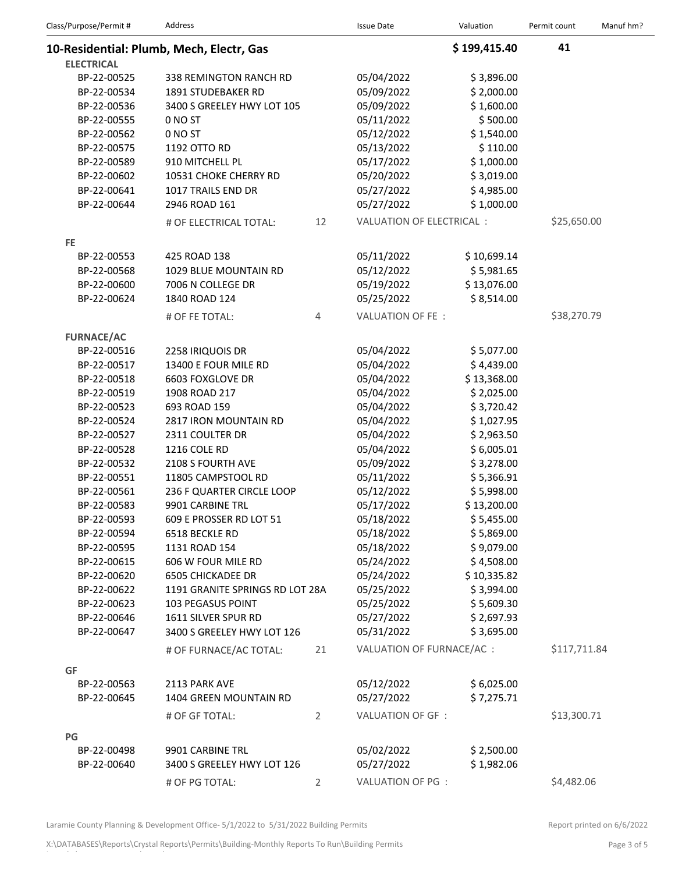| Class/Purpose/Permit#      | Address                                           |                | <b>Issue Date</b>               | Valuation                | Permit count | Manuf hm? |
|----------------------------|---------------------------------------------------|----------------|---------------------------------|--------------------------|--------------|-----------|
|                            | 10-Residential: Plumb, Mech, Electr, Gas          |                |                                 | \$199,415.40             | 41           |           |
| <b>ELECTRICAL</b>          |                                                   |                |                                 |                          |              |           |
| BP-22-00525                | 338 REMINGTON RANCH RD                            |                | 05/04/2022                      | \$3,896.00               |              |           |
| BP-22-00534                | 1891 STUDEBAKER RD                                |                | 05/09/2022                      | \$2,000.00               |              |           |
| BP-22-00536                | 3400 S GREELEY HWY LOT 105                        |                | 05/09/2022                      | \$1,600.00               |              |           |
| BP-22-00555                | 0 NO ST                                           |                | 05/11/2022                      | \$500.00                 |              |           |
| BP-22-00562                | 0 NO ST                                           |                | 05/12/2022                      | \$1,540.00               |              |           |
| BP-22-00575                | 1192 OTTO RD                                      |                | 05/13/2022                      | \$110.00                 |              |           |
| BP-22-00589                | 910 MITCHELL PL                                   |                | 05/17/2022                      | \$1,000.00               |              |           |
| BP-22-00602                | 10531 CHOKE CHERRY RD                             |                | 05/20/2022                      | \$3,019.00               |              |           |
| BP-22-00641                | 1017 TRAILS END DR                                |                | 05/27/2022                      | \$4,985.00               |              |           |
| BP-22-00644                | 2946 ROAD 161                                     |                | 05/27/2022                      | \$1,000.00               |              |           |
|                            | # OF ELECTRICAL TOTAL:                            | 12             | <b>VALUATION OF ELECTRICAL:</b> |                          | \$25,650.00  |           |
| FE.                        |                                                   |                |                                 |                          |              |           |
| BP-22-00553                | 425 ROAD 138                                      |                | 05/11/2022                      | \$10,699.14              |              |           |
| BP-22-00568                | 1029 BLUE MOUNTAIN RD                             |                | 05/12/2022                      | \$5,981.65               |              |           |
| BP-22-00600                | 7006 N COLLEGE DR                                 |                | 05/19/2022                      | \$13,076.00              |              |           |
| BP-22-00624                | 1840 ROAD 124                                     |                | 05/25/2022                      | \$8,514.00               |              |           |
|                            | # OF FE TOTAL:                                    | 4              | VALUATION OF FE:                |                          | \$38,270.79  |           |
| <b>FURNACE/AC</b>          |                                                   |                |                                 |                          |              |           |
| BP-22-00516                | 2258 IRIQUOIS DR                                  |                | 05/04/2022                      | \$5,077.00               |              |           |
| BP-22-00517                | 13400 E FOUR MILE RD                              |                | 05/04/2022                      | \$4,439.00               |              |           |
| BP-22-00518                | 6603 FOXGLOVE DR                                  |                | 05/04/2022                      | \$13,368.00              |              |           |
| BP-22-00519                | 1908 ROAD 217                                     |                | 05/04/2022                      | \$2,025.00               |              |           |
| BP-22-00523                | 693 ROAD 159                                      |                | 05/04/2022                      | \$3,720.42               |              |           |
| BP-22-00524                | 2817 IRON MOUNTAIN RD                             |                | 05/04/2022                      | \$1,027.95               |              |           |
| BP-22-00527                | 2311 COULTER DR                                   |                | 05/04/2022                      | \$2,963.50               |              |           |
| BP-22-00528                | 1216 COLE RD                                      |                | 05/04/2022                      | \$6,005.01               |              |           |
| BP-22-00532                | 2108 S FOURTH AVE                                 |                | 05/09/2022                      | \$3,278.00               |              |           |
| BP-22-00551                | 11805 CAMPSTOOL RD                                |                | 05/11/2022                      | \$5,366.91               |              |           |
| BP-22-00561                |                                                   |                | 05/12/2022                      | \$5,998.00               |              |           |
| BP-22-00583                | 236 F QUARTER CIRCLE LOOP<br>9901 CARBINE TRL     |                | 05/17/2022                      | \$13,200.00              |              |           |
| BP-22-00593                |                                                   |                | 05/18/2022                      | \$5,455.00               |              |           |
| BP-22-00594                | 609 E PROSSER RD LOT 51                           |                | 05/18/2022                      | \$5,869.00               |              |           |
|                            | 6518 BECKLE RD                                    |                | 05/18/2022                      | \$9,079.00               |              |           |
| BP-22-00595                | 1131 ROAD 154<br>606 W FOUR MILE RD               |                | 05/24/2022                      | \$4,508.00               |              |           |
| BP-22-00615<br>BP-22-00620 |                                                   |                | 05/24/2022                      | \$10,335.82              |              |           |
| BP-22-00622                | <b>6505 CHICKADEE DR</b>                          |                | 05/25/2022                      | \$3,994.00               |              |           |
|                            | 1191 GRANITE SPRINGS RD LOT 28A                   |                |                                 |                          |              |           |
| BP-22-00623                | 103 PEGASUS POINT                                 |                | 05/25/2022                      | \$5,609.30<br>\$2,697.93 |              |           |
| BP-22-00646<br>BP-22-00647 | 1611 SILVER SPUR RD<br>3400 S GREELEY HWY LOT 126 |                | 05/27/2022<br>05/31/2022        | \$3,695.00               |              |           |
|                            | # OF FURNACE/AC TOTAL:                            | 21             | VALUATION OF FURNACE/AC :       |                          | \$117,711.84 |           |
|                            |                                                   |                |                                 |                          |              |           |
| GF<br>BP-22-00563          | 2113 PARK AVE                                     |                | 05/12/2022                      | \$6,025.00               |              |           |
| BP-22-00645                | 1404 GREEN MOUNTAIN RD                            |                | 05/27/2022                      | \$7,275.71               |              |           |
|                            |                                                   |                |                                 |                          | \$13,300.71  |           |
|                            | # OF GF TOTAL:                                    | $\overline{2}$ | VALUATION OF GF :               |                          |              |           |
| PG                         |                                                   |                |                                 |                          |              |           |
| BP-22-00498                | 9901 CARBINE TRL                                  |                | 05/02/2022                      | \$2,500.00               |              |           |
| BP-22-00640                | 3400 S GREELEY HWY LOT 126                        |                | 05/27/2022                      | \$1,982.06               |              |           |
|                            | # OF PG TOTAL:                                    | 2              | VALUATION OF PG :               |                          | \$4,482.06   |           |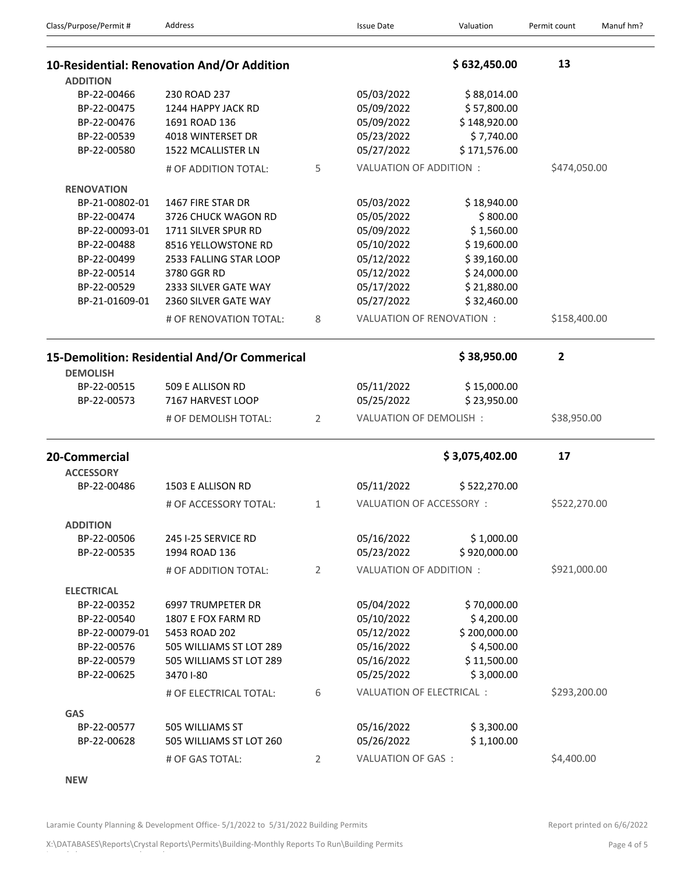| Class/Purpose/Permit#             | Address                                      |              | <b>Issue Date</b>         | Valuation                  | Permit count | Manuf hm? |
|-----------------------------------|----------------------------------------------|--------------|---------------------------|----------------------------|--------------|-----------|
|                                   | 10-Residential: Renovation And/Or Addition   |              |                           | \$632,450.00               | 13           |           |
| <b>ADDITION</b>                   |                                              |              |                           |                            |              |           |
| BP-22-00466                       | 230 ROAD 237                                 |              | 05/03/2022                | \$88,014.00                |              |           |
| BP-22-00475<br>BP-22-00476        | 1244 HAPPY JACK RD                           |              | 05/09/2022                | \$57,800.00                |              |           |
| BP-22-00539                       | 1691 ROAD 136<br>4018 WINTERSET DR           |              | 05/09/2022<br>05/23/2022  | \$148,920.00<br>\$7,740.00 |              |           |
| BP-22-00580                       | 1522 MCALLISTER LN                           |              | 05/27/2022                | \$171,576.00               |              |           |
|                                   |                                              |              |                           |                            |              |           |
|                                   | # OF ADDITION TOTAL:                         | 5            | VALUATION OF ADDITION :   |                            | \$474,050.00 |           |
| <b>RENOVATION</b>                 |                                              |              |                           |                            |              |           |
| BP-21-00802-01                    | 1467 FIRE STAR DR                            |              | 05/03/2022                | \$18,940.00                |              |           |
| BP-22-00474                       | 3726 CHUCK WAGON RD                          |              | 05/05/2022                | \$800.00                   |              |           |
| BP-22-00093-01                    | 1711 SILVER SPUR RD                          |              | 05/09/2022                | \$1,560.00                 |              |           |
| BP-22-00488                       | 8516 YELLOWSTONE RD                          |              | 05/10/2022                | \$19,600.00                |              |           |
| BP-22-00499                       | 2533 FALLING STAR LOOP                       |              | 05/12/2022                | \$39,160.00                |              |           |
| BP-22-00514                       | 3780 GGR RD                                  |              | 05/12/2022                | \$24,000.00                |              |           |
| BP-22-00529                       | 2333 SILVER GATE WAY                         |              | 05/17/2022                | \$21,880.00                |              |           |
| BP-21-01609-01                    | 2360 SILVER GATE WAY                         |              | 05/27/2022                | \$32,460.00                |              |           |
|                                   | # OF RENOVATION TOTAL:                       | 8            | VALUATION OF RENOVATION : |                            | \$158,400.00 |           |
|                                   | 15-Demolition: Residential And/Or Commerical |              |                           | \$38,950.00                | 2            |           |
| <b>DEMOLISH</b>                   |                                              |              |                           |                            |              |           |
| BP-22-00515                       | 509 E ALLISON RD                             |              | 05/11/2022                | \$15,000.00                |              |           |
| BP-22-00573                       | 7167 HARVEST LOOP                            |              | 05/25/2022                | \$23,950.00                |              |           |
|                                   | # OF DEMOLISH TOTAL:                         | 2            | VALUATION OF DEMOLISH:    |                            | \$38,950.00  |           |
| 20-Commercial<br><b>ACCESSORY</b> |                                              |              |                           | \$3,075,402.00             | 17           |           |
| BP-22-00486                       | 1503 E ALLISON RD                            |              | 05/11/2022                | \$522,270.00               |              |           |
|                                   | # OF ACCESSORY TOTAL:                        | $\mathbf{1}$ | VALUATION OF ACCESSORY:   |                            | \$522,270.00 |           |
|                                   |                                              |              |                           |                            |              |           |
| <b>ADDITION</b>                   |                                              |              |                           |                            |              |           |
| BP-22-00506                       | 245 I-25 SERVICE RD                          |              | 05/16/2022                | \$1,000.00                 |              |           |
| BP-22-00535                       | 1994 ROAD 136                                |              | 05/23/2022                | \$920,000.00               |              |           |
|                                   | # OF ADDITION TOTAL:                         | 2            | VALUATION OF ADDITION :   |                            | \$921,000.00 |           |
| <b>ELECTRICAL</b>                 |                                              |              |                           |                            |              |           |
| BP-22-00352                       | 6997 TRUMPETER DR                            |              | 05/04/2022                | \$70,000.00                |              |           |
| BP-22-00540                       | 1807 E FOX FARM RD                           |              | 05/10/2022                | \$4,200.00                 |              |           |
| BP-22-00079-01                    | 5453 ROAD 202                                |              | 05/12/2022                | \$200,000.00               |              |           |
| BP-22-00576                       | 505 WILLIAMS ST LOT 289                      |              | 05/16/2022                | \$4,500.00                 |              |           |
| BP-22-00579                       | 505 WILLIAMS ST LOT 289                      |              | 05/16/2022                | \$11,500.00                |              |           |
| BP-22-00625                       | 3470 I-80                                    |              | 05/25/2022                | \$3,000.00                 |              |           |
|                                   | # OF ELECTRICAL TOTAL:                       | 6            | VALUATION OF ELECTRICAL : |                            | \$293,200.00 |           |
|                                   |                                              |              |                           |                            |              |           |
| <b>GAS</b>                        |                                              |              |                           |                            |              |           |
| BP-22-00577                       | 505 WILLIAMS ST                              |              | 05/16/2022                | \$3,300.00                 |              |           |
| BP-22-00628                       | 505 WILLIAMS ST LOT 260                      |              | 05/26/2022                | \$1,100.00                 |              |           |
|                                   | # OF GAS TOTAL:                              | 2            | VALUATION OF GAS:         |                            | \$4,400.00   |           |

**NEW**